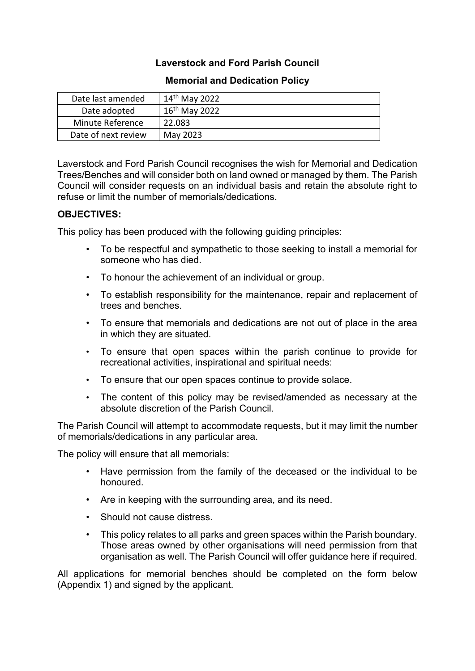# **Laverstock and Ford Parish Council**

| Date last amended   | $14th$ May 2022           |
|---------------------|---------------------------|
| Date adopted        | $16^{\text{th}}$ May 2022 |
| Minute Reference    | 22.083                    |
| Date of next review | May 2023                  |

# **Memorial and Dedication Policy**

Laverstock and Ford Parish Council recognises the wish for Memorial and Dedication Trees/Benches and will consider both on land owned or managed by them. The Parish Council will consider requests on an individual basis and retain the absolute right to refuse or limit the number of memorials/dedications.

## **OBJECTIVES:**

This policy has been produced with the following guiding principles:

- To be respectful and sympathetic to those seeking to install a memorial for someone who has died.
- To honour the achievement of an individual or group.
- To establish responsibility for the maintenance, repair and replacement of trees and benches.
- To ensure that memorials and dedications are not out of place in the area in which they are situated.
- To ensure that open spaces within the parish continue to provide for recreational activities, inspirational and spiritual needs:
- To ensure that our open spaces continue to provide solace.
- The content of this policy may be revised/amended as necessary at the absolute discretion of the Parish Council.

The Parish Council will attempt to accommodate requests, but it may limit the number of memorials/dedications in any particular area.

The policy will ensure that all memorials:

- Have permission from the family of the deceased or the individual to be honoured.
- Are in keeping with the surrounding area, and its need.
- Should not cause distress.
- This policy relates to all parks and green spaces within the Parish boundary. Those areas owned by other organisations will need permission from that organisation as well. The Parish Council will offer guidance here if required.

All applications for memorial benches should be completed on the form below (Appendix 1) and signed by the applicant.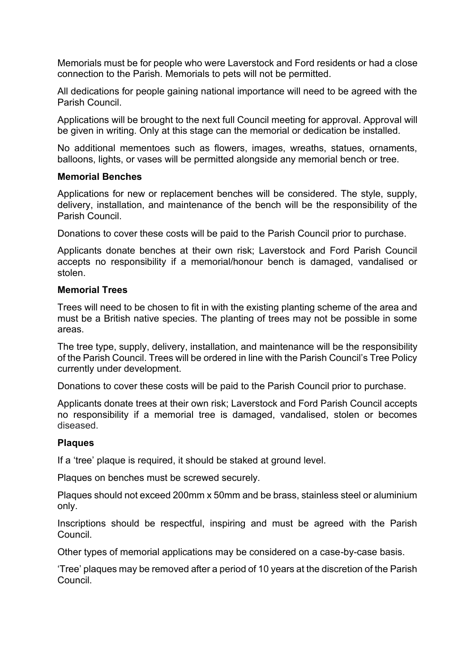Memorials must be for people who were Laverstock and Ford residents or had a close connection to the Parish. Memorials to pets will not be permitted.

All dedications for people gaining national importance will need to be agreed with the Parish Council.

Applications will be brought to the next full Council meeting for approval. Approval will be given in writing. Only at this stage can the memorial or dedication be installed.

No additional mementoes such as flowers, images, wreaths, statues, ornaments, balloons, lights, or vases will be permitted alongside any memorial bench or tree.

#### **Memorial Benches**

Applications for new or replacement benches will be considered. The style, supply, delivery, installation, and maintenance of the bench will be the responsibility of the Parish Council.

Donations to cover these costs will be paid to the Parish Council prior to purchase.

Applicants donate benches at their own risk; Laverstock and Ford Parish Council accepts no responsibility if a memorial/honour bench is damaged, vandalised or stolen.

#### **Memorial Trees**

Trees will need to be chosen to fit in with the existing planting scheme of the area and must be a British native species. The planting of trees may not be possible in some areas.

The tree type, supply, delivery, installation, and maintenance will be the responsibility of the Parish Council. Trees will be ordered in line with the Parish Council's Tree Policy currently under development.

Donations to cover these costs will be paid to the Parish Council prior to purchase.

Applicants donate trees at their own risk; Laverstock and Ford Parish Council accepts no responsibility if a memorial tree is damaged, vandalised, stolen or becomes diseased.

## **Plaques**

If a 'tree' plaque is required, it should be staked at ground level.

Plaques on benches must be screwed securely.

Plaques should not exceed 200mm x 50mm and be brass, stainless steel or aluminium only.

Inscriptions should be respectful, inspiring and must be agreed with the Parish Council.

Other types of memorial applications may be considered on a case-by-case basis.

'Tree' plaques may be removed after a period of 10 years at the discretion of the Parish Council.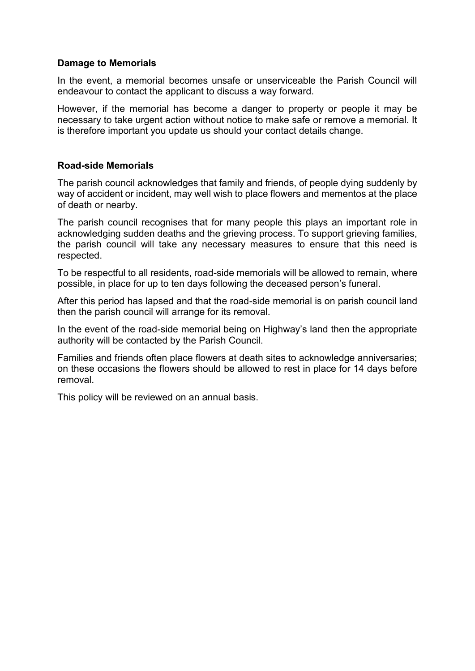## **Damage to Memorials**

In the event, a memorial becomes unsafe or unserviceable the Parish Council will endeavour to contact the applicant to discuss a way forward.

However, if the memorial has become a danger to property or people it may be necessary to take urgent action without notice to make safe or remove a memorial. It is therefore important you update us should your contact details change.

#### **Road-side Memorials**

The parish council acknowledges that family and friends, of people dying suddenly by way of accident or incident, may well wish to place flowers and mementos at the place of death or nearby.

The parish council recognises that for many people this plays an important role in acknowledging sudden deaths and the grieving process. To support grieving families, the parish council will take any necessary measures to ensure that this need is respected.

To be respectful to all residents, road-side memorials will be allowed to remain, where possible, in place for up to ten days following the deceased person's funeral.

After this period has lapsed and that the road-side memorial is on parish council land then the parish council will arrange for its removal.

In the event of the road-side memorial being on Highway's land then the appropriate authority will be contacted by the Parish Council.

Families and friends often place flowers at death sites to acknowledge anniversaries; on these occasions the flowers should be allowed to rest in place for 14 days before removal.

This policy will be reviewed on an annual basis.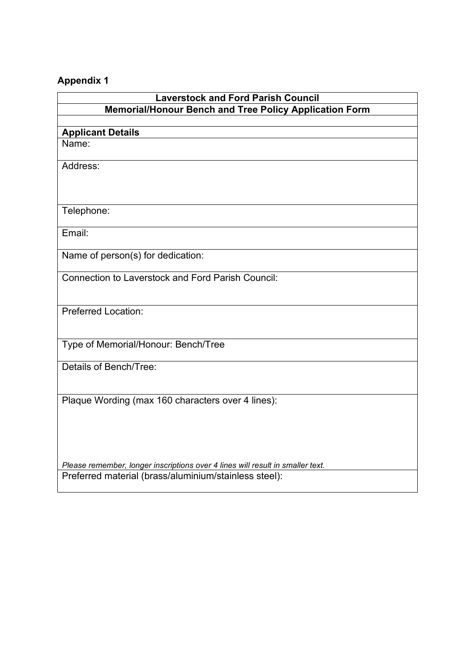# **Appendix 1**

| <b>Laverstock and Ford Parish Council</b>                                      |  |
|--------------------------------------------------------------------------------|--|
| <b>Memorial/Honour Bench and Tree Policy Application Form</b>                  |  |
|                                                                                |  |
| <b>Applicant Details</b>                                                       |  |
| Name:                                                                          |  |
| Address:                                                                       |  |
| Telephone:                                                                     |  |
| Email:                                                                         |  |
| Name of person(s) for dedication:                                              |  |
| <b>Connection to Laverstock and Ford Parish Council:</b>                       |  |
| <b>Preferred Location:</b>                                                     |  |
| Type of Memorial/Honour: Bench/Tree                                            |  |
| Details of Bench/Tree:                                                         |  |
| Plaque Wording (max 160 characters over 4 lines):                              |  |
| Please remember, longer inscriptions over 4 lines will result in smaller text. |  |
| Preferred material (brass/aluminium/stainless steel):                          |  |